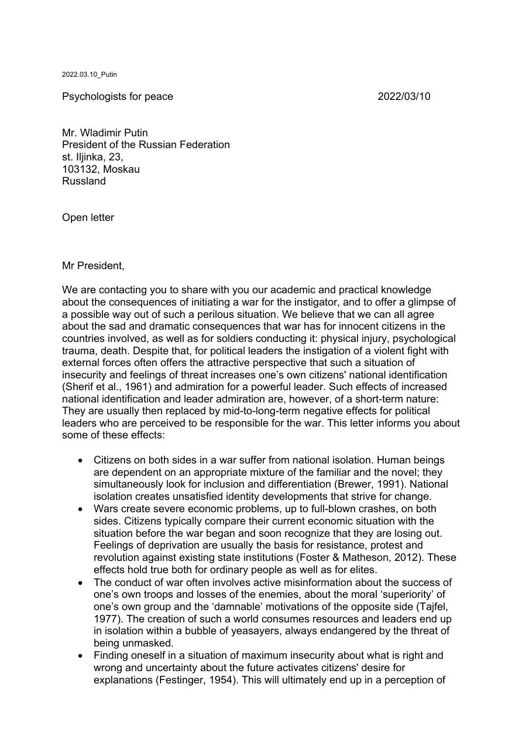2022.03.10\_Putin

Psychologists for peace 2022/03/10

Mr. Wladimir Putin President of the Russian Federation st. Iljinka, 23, 103132, Moskau Russland

Open letter

Mr President,

We are contacting you to share with you our academic and practical knowledge about the consequences of initiating a war for the instigator, and to offer a glimpse of a possible way out of such a perilous situation. We believe that we can all agree about the sad and dramatic consequences that war has for innocent citizens in the countries involved, as well as for soldiers conducting it: physical injury, psychological trauma, death. Despite that, for political leaders the instigation of a violent fight with external forces often offers the attractive perspective that such a situation of insecurity and feelings of threat increases one's own citizens' national identification (Sherif et al., 1961) and admiration for a powerful leader. Such effects of increased national identification and leader admiration are, however, of a short-term nature: They are usually then replaced by mid-to-long-term negative effects for political leaders who are perceived to be responsible for the war. This letter informs you about some of these effects:

- Citizens on both sides in a war suffer from national isolation. Human beings are dependent on an appropriate mixture of the familiar and the novel; they simultaneously look for inclusion and differentiation (Brewer, 1991). National isolation creates unsatisfied identity developments that strive for change.
- Wars create severe economic problems, up to full-blown crashes, on both sides. Citizens typically compare their current economic situation with the situation before the war began and soon recognize that they are losing out. Feelings of deprivation are usually the basis for resistance, protest and revolution against existing state institutions (Foster & Matheson, 2012). These effects hold true both for ordinary people as well as for elites.
- The conduct of war often involves active misinformation about the success of one's own troops and losses of the enemies, about the moral 'superiority' of one's own group and the 'damnable' motivations of the opposite side (Tajfel, 1977). The creation of such a world consumes resources and leaders end up in isolation within a bubble of yeasayers, always endangered by the threat of being unmasked.
- Finding oneself in a situation of maximum insecurity about what is right and wrong and uncertainty about the future activates citizens' desire for explanations (Festinger, 1954). This will ultimately end up in a perception of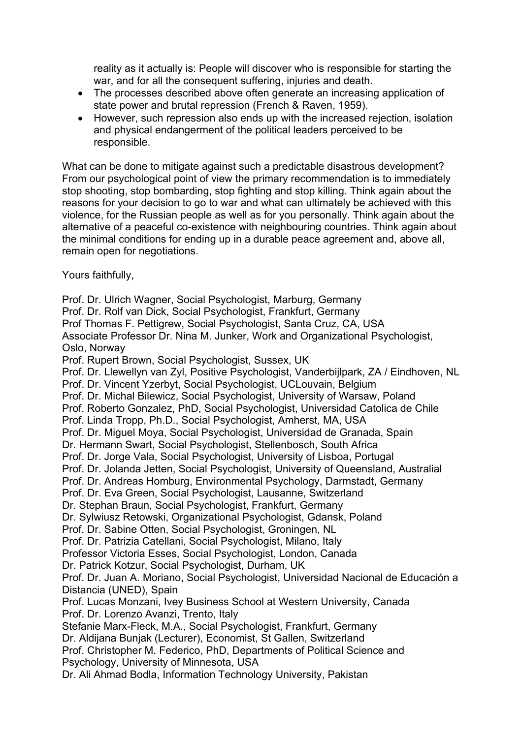reality as it actually is: People will discover who is responsible for starting the war, and for all the consequent suffering, injuries and death.

- The processes described above often generate an increasing application of state power and brutal repression (French & Raven, 1959).
- However, such repression also ends up with the increased rejection, isolation and physical endangerment of the political leaders perceived to be responsible.

What can be done to mitigate against such a predictable disastrous development? From our psychological point of view the primary recommendation is to immediately stop shooting, stop bombarding, stop fighting and stop killing. Think again about the reasons for your decision to go to war and what can ultimately be achieved with this violence, for the Russian people as well as for you personally. Think again about the alternative of a peaceful co-existence with neighbouring countries. Think again about the minimal conditions for ending up in a durable peace agreement and, above all, remain open for negotiations.

## Yours faithfully,

Prof. Dr. Ulrich Wagner, Social Psychologist, Marburg, Germany Prof. Dr. Rolf van Dick, Social Psychologist, Frankfurt, Germany Prof Thomas F. Pettigrew, Social Psychologist, Santa Cruz, CA, USA Associate Professor Dr. Nina M. Junker, Work and Organizational Psychologist, Oslo, Norway Prof. Rupert Brown, Social Psychologist, Sussex, UK Prof. Dr. Llewellyn van Zyl, Positive Psychologist, Vanderbijlpark, ZA / Eindhoven, NL Prof. Dr. Vincent Yzerbyt, Social Psychologist, UCLouvain, Belgium Prof. Dr. Michal Bilewicz, Social Psychologist, University of Warsaw, Poland Prof. Roberto Gonzalez, PhD, Social Psychologist, Universidad Catolica de Chile Prof. Linda Tropp, Ph.D., Social Psychologist, Amherst, MA, USA Prof. Dr. Miguel Moya, Social Psychologist, Universidad de Granada, Spain Dr. Hermann Swart, Social Psychologist, Stellenbosch, South Africa Prof. Dr. Jorge Vala, Social Psychologist, University of Lisboa, Portugal Prof. Dr. Jolanda Jetten, Social Psychologist, University of Queensland, Australial Prof. Dr. Andreas Homburg, Environmental Psychology, Darmstadt, Germany Prof. Dr. Eva Green, Social Psychologist, Lausanne, Switzerland Dr. Stephan Braun, Social Psychologist, Frankfurt, Germany Dr. Sylwiusz Retowski, Organizational Psychologist, Gdansk, Poland Prof. Dr. Sabine Otten, Social Psychologist, Groningen, NL Prof. Dr. Patrizia Catellani, Social Psychologist, Milano, Italy Professor Victoria Esses, Social Psychologist, London, Canada Dr. Patrick Kotzur, Social Psychologist, Durham, UK Prof. Dr. Juan A. Moriano, Social Psychologist, Universidad Nacional de Educación a Distancia (UNED), Spain Prof. Lucas Monzani, Ivey Business School at Western University, Canada Prof. Dr. Lorenzo Avanzi, Trento, Italy Stefanie Marx-Fleck, M.A., Social Psychologist, Frankfurt, Germany Dr. Aldijana Bunjak (Lecturer), Economist, St Gallen, Switzerland Prof. Christopher M. Federico, PhD, Departments of Political Science and Psychology, University of Minnesota, USA Dr. Ali Ahmad Bodla, Information Technology University, Pakistan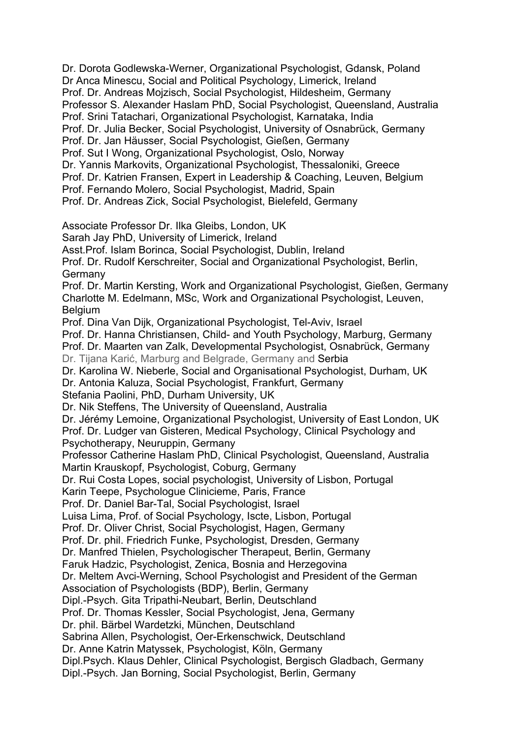Dr. Dorota Godlewska-Werner, Organizational Psychologist, Gdansk, Poland Dr Anca Minescu, Social and Political Psychology, Limerick, Ireland Prof. Dr. Andreas Mojzisch, Social Psychologist, Hildesheim, Germany Professor S. Alexander Haslam PhD, Social Psychologist, Queensland, Australia Prof. Srini Tatachari, Organizational Psychologist, Karnataka, India Prof. Dr. Julia Becker, Social Psychologist, University of Osnabrück, Germany Prof. Dr. Jan Häusser, Social Psychologist, Gießen, Germany Prof. Sut I Wong, Organizational Psychologist, Oslo, Norway Dr. Yannis Markovits, Organizational Psychologist, Thessaloniki, Greece Prof. Dr. Katrien Fransen, Expert in Leadership & Coaching, Leuven, Belgium Prof. Fernando Molero, Social Psychologist, Madrid, Spain Prof. Dr. Andreas Zick, Social Psychologist, Bielefeld, Germany Associate Professor Dr. Ilka Gleibs, London, UK Sarah Jay PhD, University of Limerick, Ireland Asst.Prof. Islam Borinca, Social Psychologist, Dublin, Ireland Prof. Dr. Rudolf Kerschreiter, Social and Organizational Psychologist, Berlin, **Germany** Prof. Dr. Martin Kersting, Work and Organizational Psychologist, Gießen, Germany Charlotte M. Edelmann, MSc, Work and Organizational Psychologist, Leuven, **Belgium** Prof. Dina Van Dijk, Organizational Psychologist, Tel-Aviv, Israel Prof. Dr. Hanna Christiansen, Child- and Youth Psychology, Marburg, Germany Prof. Dr. Maarten van Zalk, Developmental Psychologist, Osnabrück, Germany Dr. Tijana Karić, Marburg and Belgrade, Germany and Serbia Dr. Karolina W. Nieberle, Social and Organisational Psychologist, Durham, UK Dr. Antonia Kaluza, Social Psychologist, Frankfurt, Germany Stefania Paolini, PhD, Durham University, UK Dr. Nik Steffens, The University of Queensland, Australia Dr. Jérémy Lemoine, Organizational Psychologist, University of East London, UK Prof. Dr. Ludger van Gisteren, Medical Psychology, Clinical Psychology and Psychotherapy, Neuruppin, Germany Professor Catherine Haslam PhD, Clinical Psychologist, Queensland, Australia Martin Krauskopf, Psychologist, Coburg, Germany Dr. Rui Costa Lopes, social psychologist, University of Lisbon, Portugal Karin Teepe, Psychologue Clinicieme, Paris, France Prof. Dr. Daniel Bar-Tal, Social Psychologist, Israel Luisa Lima, Prof. of Social Psychology, Iscte, Lisbon, Portugal Prof. Dr. Oliver Christ, Social Psychologist, Hagen, Germany Prof. Dr. phil. Friedrich Funke, Psychologist, Dresden, Germany Dr. Manfred Thielen, Psychologischer Therapeut, Berlin, Germany Faruk Hadzic, Psychologist, Zenica, Bosnia and Herzegovina Dr. Meltem Avci-Werning, School Psychologist and President of the German Association of Psychologists (BDP), Berlin, Germany Dipl.-Psych. Gita Tripathi-Neubart, Berlin, Deutschland Prof. Dr. Thomas Kessler, Social Psychologist, Jena, Germany Dr. phil. Bärbel Wardetzki, München, Deutschland Sabrina Allen, Psychologist, Oer-Erkenschwick, Deutschland Dr. Anne Katrin Matyssek, Psychologist, Köln, Germany Dipl.Psych. Klaus Dehler, Clinical Psychologist, Bergisch Gladbach, Germany Dipl.-Psych. Jan Borning, Social Psychologist, Berlin, Germany